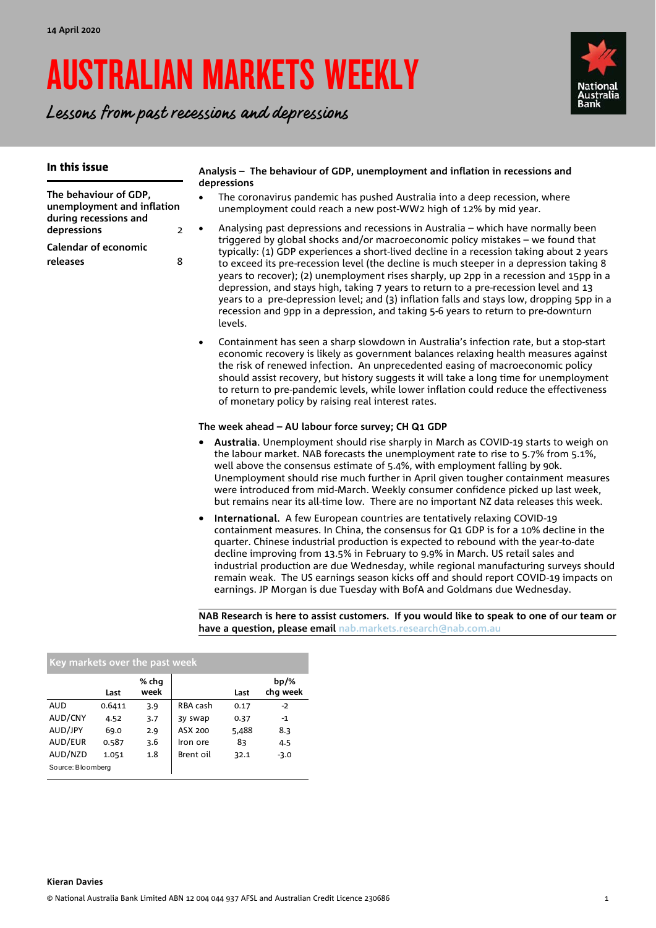# AUSTRALIAN MARKETS WEEKLY

Lessons from past recessions and depressions



| In this issue                                                                   | Analysis - The behaviour of GDP, unemployment and inflation in recessions and<br>depressions                                                                                                                                                                                                                                                                                                                                                                                                                                                                                                                                                                                                                                                                                                                                                                                                                                                                                                                                                                                                                                                                                                                                                                                                            |  |  |  |  |  |  |  |
|---------------------------------------------------------------------------------|---------------------------------------------------------------------------------------------------------------------------------------------------------------------------------------------------------------------------------------------------------------------------------------------------------------------------------------------------------------------------------------------------------------------------------------------------------------------------------------------------------------------------------------------------------------------------------------------------------------------------------------------------------------------------------------------------------------------------------------------------------------------------------------------------------------------------------------------------------------------------------------------------------------------------------------------------------------------------------------------------------------------------------------------------------------------------------------------------------------------------------------------------------------------------------------------------------------------------------------------------------------------------------------------------------|--|--|--|--|--|--|--|
| The behaviour of GDP,<br>unemployment and inflation                             | The coronavirus pandemic has pushed Australia into a deep recession, where<br>$\bullet$<br>unemployment could reach a new post-WW2 high of 12% by mid year.                                                                                                                                                                                                                                                                                                                                                                                                                                                                                                                                                                                                                                                                                                                                                                                                                                                                                                                                                                                                                                                                                                                                             |  |  |  |  |  |  |  |
| during recessions and<br>depressions<br><b>Calendar of economic</b><br>releases | Analysing past depressions and recessions in Australia – which have normally been<br>$\bullet$<br>$\overline{2}$<br>triggered by global shocks and/or macroeconomic policy mistakes - we found that<br>typically: (1) GDP experiences a short-lived decline in a recession taking about 2 years<br>8<br>to exceed its pre-recession level (the decline is much steeper in a depression taking 8<br>years to recover); (2) unemployment rises sharply, up 2pp in a recession and 15pp in a<br>depression, and stays high, taking 7 years to return to a pre-recession level and 13<br>years to a pre-depression level; and (3) inflation falls and stays low, dropping 5pp in a<br>recession and 9pp in a depression, and taking 5-6 years to return to pre-downturn<br>levels.<br>Containment has seen a sharp slowdown in Australia's infection rate, but a stop-start<br>$\bullet$<br>economic recovery is likely as government balances relaxing health measures against<br>the risk of renewed infection. An unprecedented easing of macroeconomic policy<br>should assist recovery, but history suggests it will take a long time for unemployment<br>to return to pre-pandemic levels, while lower inflation could reduce the effectiveness<br>of monetary policy by raising real interest rates. |  |  |  |  |  |  |  |
|                                                                                 | The week ahead – AU labour force survey; CH Q1 GDP<br>Australia. Unemployment should rise sharply in March as COVID-19 starts to weigh on<br>the labour market. NAB forecasts the unemployment rate to rise to 5.7% from 5.1%,<br>well above the consensus estimate of 5.4%, with employment falling by 90k.<br>Unemployment should rise much further in April given tougher containment measures<br>were introduced from mid-March. Weekly consumer confidence picked up last week,<br>but remains near its all-time low. There are no important NZ data releases this week.<br>International. A few European countries are tentatively relaxing COVID-19<br>$\bullet$<br>containment measures. In China, the consensus for Q1 GDP is for a 10% decline in the<br>quarter. Chinese industrial production is expected to rebound with the year-to-date<br>decline improving from 13.5% in February to 9.9% in March. US retail sales and<br>industrial production are due Wednesday, while regional manufacturing surveys should<br>remain weak. The US earnings season kicks off and should report COVID-19 impacts on<br>earnings. JP Morgan is due Tuesday with BofA and Goldmans due Wednesday.                                                                                                     |  |  |  |  |  |  |  |

**NAB Research is here to assist customers. If you would like to speak to one of our team or have a question, please email nab.markets.research@nab.com.au** 

| Key markets over the past week |        |               |           |       |                     |  |  |
|--------------------------------|--------|---------------|-----------|-------|---------------------|--|--|
|                                | Last   | % chq<br>week |           | Last  | $bp/\%$<br>chg week |  |  |
| <b>AUD</b>                     | 0.6411 | 3.9           | RBA cash  | 0.17  | $-2$                |  |  |
| AUD/CNY                        | 4.52   | 3.7           | 3y swap   | 0.37  | $-1$                |  |  |
| AUD/JPY                        | 69.0   | 2.9           | ASX 200   | 5,488 | 8.3                 |  |  |
| AUD/EUR                        | 0.587  | 3.6           | Iron ore  | 83    | 4.5                 |  |  |
| AUD/NZD                        | 1.051  | 1.8           | Brent oil | 32.1  | $-3.0$              |  |  |
| Source: Bloomberg              |        |               |           |       |                     |  |  |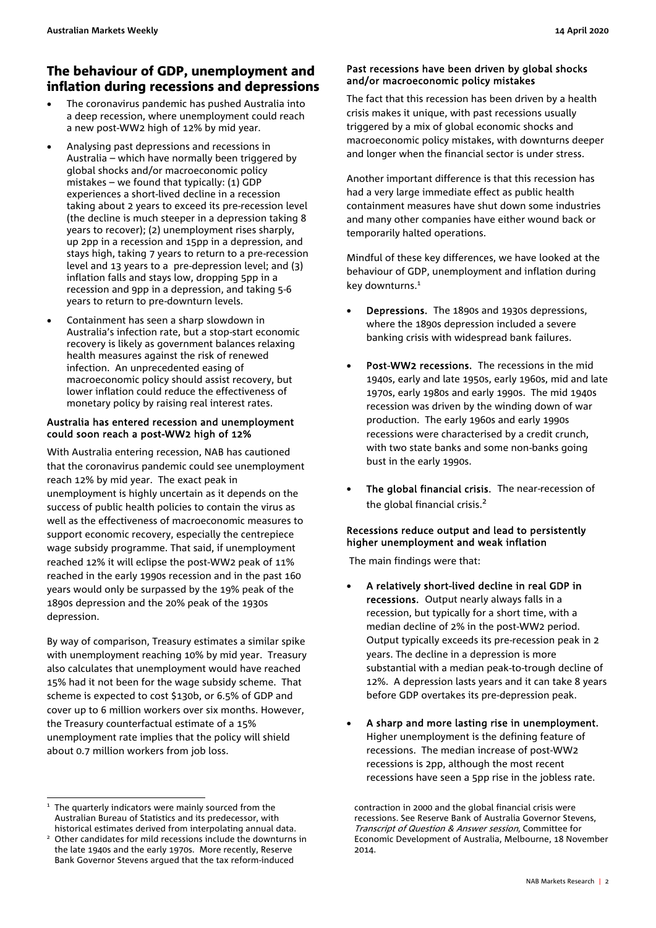### The behaviour of GDP, unemployment and inflation during recessions and depressions

- The coronavirus pandemic has pushed Australia into a deep recession, where unemployment could reach a new post-WW2 high of 12% by mid year.
- Analysing past depressions and recessions in Australia – which have normally been triggered by global shocks and/or macroeconomic policy mistakes – we found that typically:  $(1)$  GDP experiences a short-lived decline in a recession taking about 2 years to exceed its pre-recession level (the decline is much steeper in a depression taking 8 years to recover); (2) unemployment rises sharply, up 2pp in a recession and 15pp in a depression, and stays high, taking 7 years to return to a pre-recession level and 13 years to a pre-depression level; and (3) inflation falls and stays low, dropping 5pp in a recession and 9pp in a depression, and taking 5-6 years to return to pre-downturn levels.
- Containment has seen a sharp slowdown in Australia's infection rate, but a stop-start economic recovery is likely as government balances relaxing health measures against the risk of renewed infection. An unprecedented easing of macroeconomic policy should assist recovery, but lower inflation could reduce the effectiveness of monetary policy by raising real interest rates.

#### Australia has entered recession and unemployment could soon reach a post-WW2 high of 12%

With Australia entering recession, NAB has cautioned that the coronavirus pandemic could see unemployment reach 12% by mid year. The exact peak in unemployment is highly uncertain as it depends on the success of public health policies to contain the virus as well as the effectiveness of macroeconomic measures to support economic recovery, especially the centrepiece wage subsidy programme. That said, if unemployment reached 12% it will eclipse the post-WW2 peak of 11% reached in the early 1990s recession and in the past 160 years would only be surpassed by the 19% peak of the 1890s depression and the 20% peak of the 1930s depression.

By way of comparison, Treasury estimates a similar spike with unemployment reaching 10% by mid year. Treasury also calculates that unemployment would have reached 15% had it not been for the wage subsidy scheme. That scheme is expected to cost \$130b, or 6.5% of GDP and cover up to 6 million workers over six months. However, the Treasury counterfactual estimate of a 15% unemployment rate implies that the policy will shield about 0.7 million workers from job loss.

j

#### Past recessions have been driven by global shocks and/or macroeconomic policy mistakes

The fact that this recession has been driven by a health crisis makes it unique, with past recessions usually triggered by a mix of global economic shocks and macroeconomic policy mistakes, with downturns deeper and longer when the financial sector is under stress.

Another important difference is that this recession has had a very large immediate effect as public health containment measures have shut down some industries and many other companies have either wound back or temporarily halted operations.

Mindful of these key differences, we have looked at the behaviour of GDP, unemployment and inflation during key downturns.<sup>1</sup>

- Depressions. The 1890s and 1930s depressions, where the 1890s depression included a severe banking crisis with widespread bank failures.
- Post-WW2 recessions. The recessions in the mid 1940s, early and late 1950s, early 1960s, mid and late 1970s, early 1980s and early 1990s. The mid 1940s recession was driven by the winding down of war production. The early 1960s and early 1990s recessions were characterised by a credit crunch, with two state banks and some non-banks going bust in the early 1990s.
- The global financial crisis. The near-recession of the global financial crisis.<sup>2</sup>

#### Recessions reduce output and lead to persistently higher unemployment and weak inflation

The main findings were that:

- A relatively short-lived decline in real GDP in recessions. Output nearly always falls in a recession, but typically for a short time, with a median decline of 2% in the post-WW2 period. Output typically exceeds its pre-recession peak in 2 years. The decline in a depression is more substantial with a median peak-to-trough decline of 12%. A depression lasts years and it can take 8 years before GDP overtakes its pre-depression peak.
- A sharp and more lasting rise in unemployment. Higher unemployment is the defining feature of recessions. The median increase of post-WW2 recessions is 2pp, although the most recent recessions have seen a 5pp rise in the jobless rate.

<sup>&</sup>lt;sup>1</sup> The quarterly indicators were mainly sourced from the Australian Bureau of Statistics and its predecessor, with

historical estimates derived from interpolating annual data. 2 Other candidates for mild recessions include the downturns in the late 1940s and the early 1970s. More recently, Reserve Bank Governor Stevens argued that the tax reform-induced

contraction in 2000 and the global financial crisis were recessions. See Reserve Bank of Australia Governor Stevens, Transcript of Question & Answer session, Committee for Economic Development of Australia, Melbourne, 18 November 2014.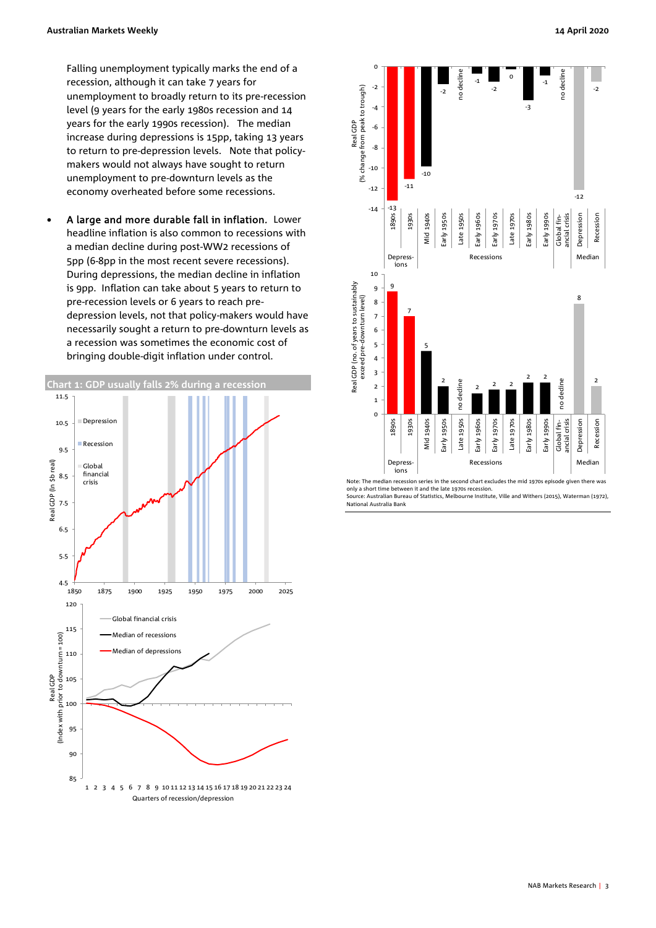Falling unemployment typically marks the end of a recession, although it can take 7 years for unemployment to broadly return to its pre-recession level (9 years for the early 1980s recession and 14 years for the early 1990s recession). The median increase during depressions is 15pp, taking 13 years to return to pre-depression levels. Note that policymakers would not always have sought to return unemployment to pre-downturn levels as the economy overheated before some recessions.

 A large and more durable fall in inflation. Lower headline inflation is also common to recessions with a median decline during post-WW2 recessions of 5pp (6-8pp in the most recent severe recessions). During depressions, the median decline in inflation is 9pp. Inflation can take about 5 years to return to pre-recession levels or 6 years to reach predepression levels, not that policy-makers would have necessarily sought a return to pre-downturn levels as a recession was sometimes the economic cost of bringing double-digit inflation under control.





only a short time between it and the late 1970s recession.

Source: Australian Bureau of Statistics, Melbourne Institute, Ville and Withers (2015), Waterman (1972), National Australia Bank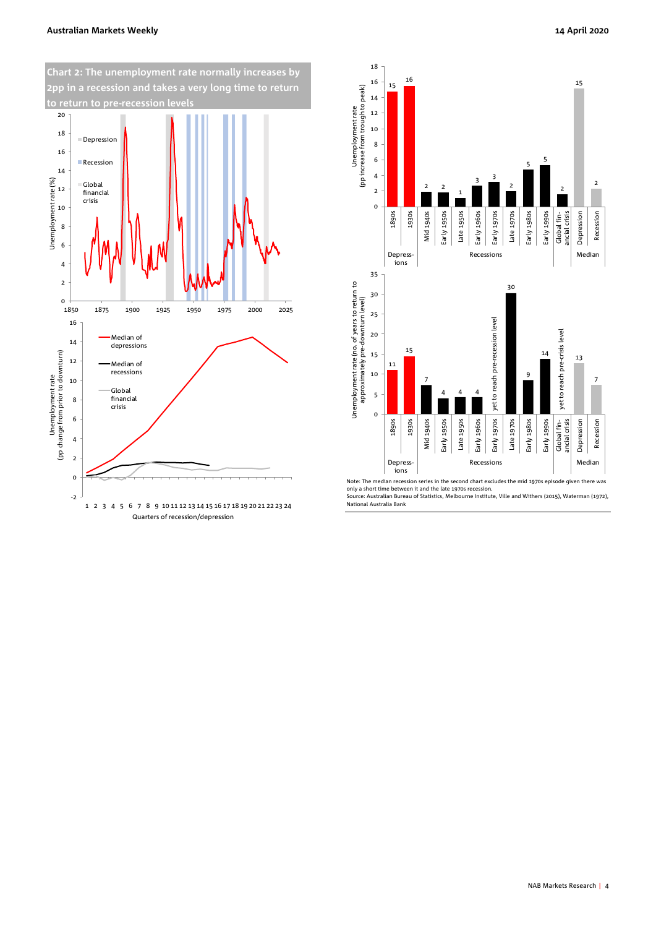#### **Australian Markets Weekly 14 April 2020**





only a short time between it and the late 1970s recession. Source: Australian Bureau of Statistics, Melbourne Institute, Ville and Withers (2015), Waterman (1972),

National Australia Bank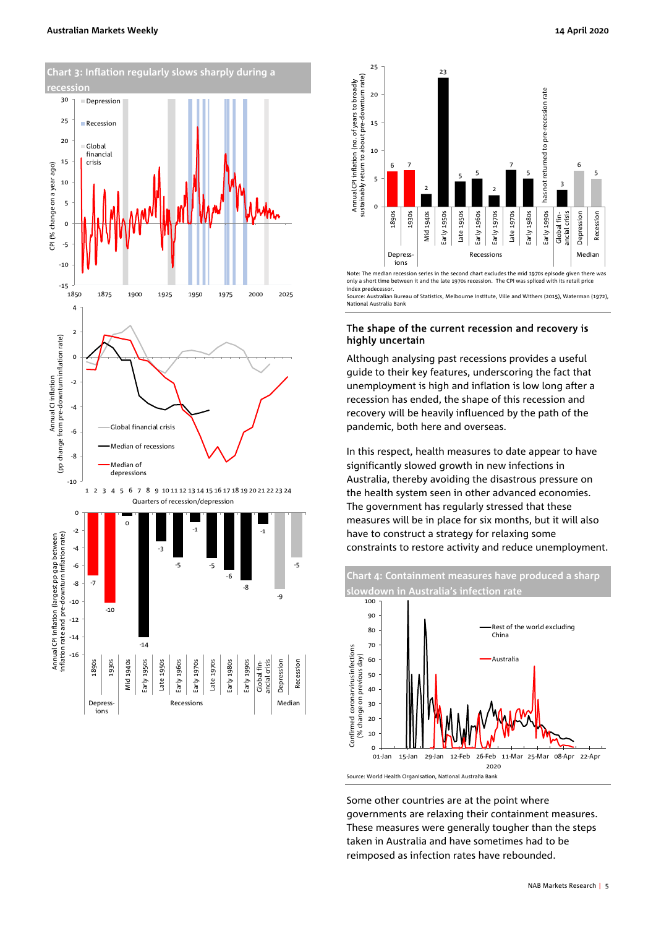



Note: The median recession series in the second chart excludes the mid 1970s episode given there was only a short time between it and the late 1970s recession. The CPI was spliced with its retail price index predecessor. statisticalian Bureau of Statistics, Melbourne Institute, Ville and Withers (2015), Waterman (1972), Waterman ( National Australia Bank

#### The shape of the current recession and recovery is highly uncertain

ions

Although analysing past recessions provides a useful guide to their key features, underscoring the fact that unemployment is high and inflation is low long after a recession has ended, the shape of this recession and recovery will be heavily influenced by the path of the pandemic, both here and overseas.

In this respect, health measures to date appear to have significantly slowed growth in new infections in Australia, thereby avoiding the disastrous pressure on the health system seen in other advanced economies. The government has regularly stressed that these measures will be in place for six months, but it will also have to construct a strategy for relaxing some constraints to restore activity and reduce unemployment.

**Chart 4: Containment measures have produced a sharp slowdown in Australia's infection rate** 



Some other countries are at the point where governments are relaxing their containment measures. These measures were generally tougher than the steps taken in Australia and have sometimes had to be reimposed as infection rates have rebounded.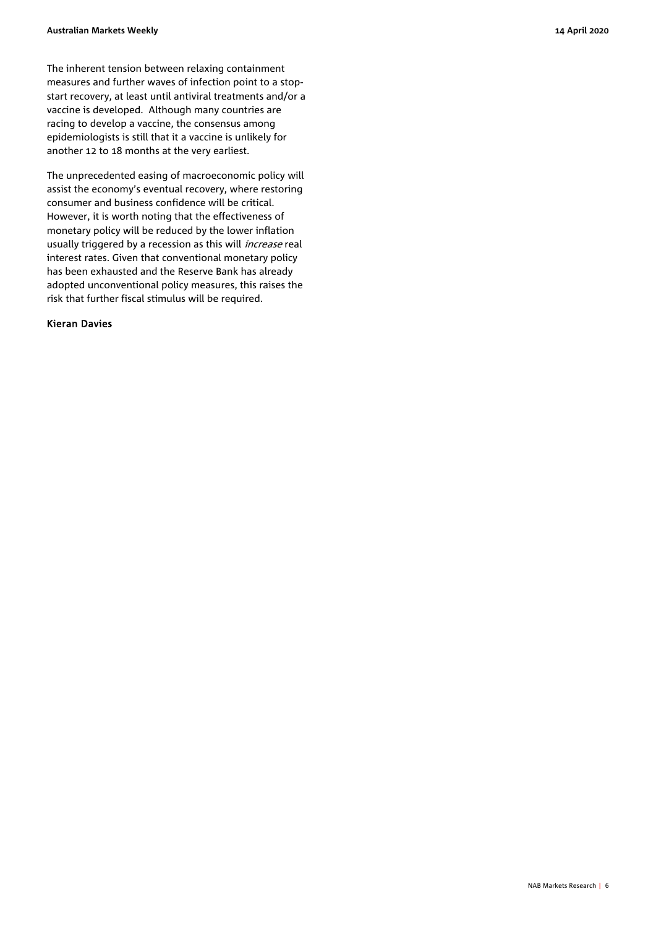The inherent tension between relaxing containment measures and further waves of infection point to a stopstart recovery, at least until antiviral treatments and/or a vaccine is developed. Although many countries are racing to develop a vaccine, the consensus among epidemiologists is still that it a vaccine is unlikely for another 12 to 18 months at the very earliest.

The unprecedented easing of macroeconomic policy will assist the economy's eventual recovery, where restoring consumer and business confidence will be critical. However, it is worth noting that the effectiveness of monetary policy will be reduced by the lower inflation usually triggered by a recession as this will *increase* real interest rates. Given that conventional monetary policy has been exhausted and the Reserve Bank has already adopted unconventional policy measures, this raises the risk that further fiscal stimulus will be required.

#### Kieran Davies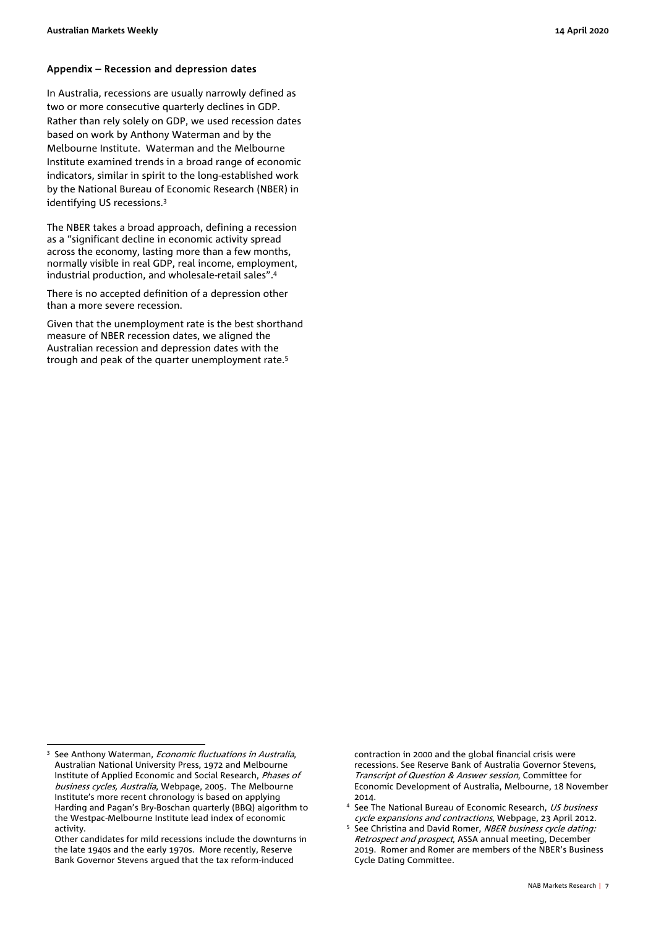#### Appendix – Recession and depression dates

In Australia, recessions are usually narrowly defined as two or more consecutive quarterly declines in GDP. Rather than rely solely on GDP, we used recession dates based on work by Anthony Waterman and by the Melbourne Institute. Waterman and the Melbourne Institute examined trends in a broad range of economic indicators, similar in spirit to the long-established work by the National Bureau of Economic Research (NBER) in identifying US recessions.3

The NBER takes a broad approach, defining a recession as a "significant decline in economic activity spread across the economy, lasting more than a few months, normally visible in real GDP, real income, employment, industrial production, and wholesale-retail sales".4

There is no accepted definition of a depression other than a more severe recession.

Given that the unemployment rate is the best shorthand measure of NBER recession dates, we aligned the Australian recession and depression dates with the trough and peak of the quarter unemployment rate.5

 $\overline{a}$ 

Other candidates for mild recessions include the downturns in the late 1940s and the early 1970s. More recently, Reserve Bank Governor Stevens argued that the tax reform-induced

contraction in 2000 and the global financial crisis were recessions. See Reserve Bank of Australia Governor Stevens, Transcript of Question & Answer session, Committee for Economic Development of Australia, Melbourne, 18 November

- 2014.<br><sup>4</sup> See The National Bureau of Economic Research, *US business* cycle expansions and contractions, Webpage, 23 April 2012.
- See Christina and David Romer, NBER business cycle dating: Retrospect and prospect, ASSA annual meeting, December 2019. Romer and Romer are members of the NBER's Business Cycle Dating Committee.

<sup>3</sup> See Anthony Waterman, *Economic fluctuations in Australia*, Australian National University Press, 1972 and Melbourne Institute of Applied Economic and Social Research, Phases of business cycles, Australia, Webpage, 2005. The Melbourne Institute's more recent chronology is based on applying Harding and Pagan's Bry-Boschan quarterly (BBQ) algorithm to the Westpac-Melbourne Institute lead index of economic activity.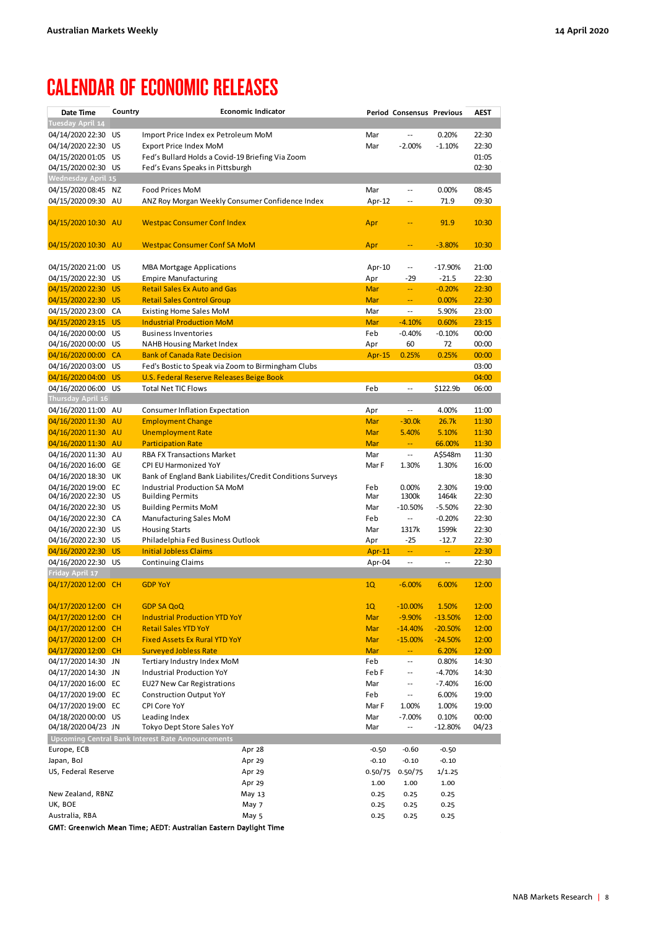## CALENDAR OF ECONOMIC RELEASES

| Date Time                                  | Country   | <b>Economic Indicator</b>                                       |                         | Period Consensus Previous        |                      | <b>AEST</b>    |
|--------------------------------------------|-----------|-----------------------------------------------------------------|-------------------------|----------------------------------|----------------------|----------------|
| Tuesday April 14                           |           |                                                                 |                         |                                  |                      |                |
| 04/14/2020 22:30                           | US        | Import Price Index ex Petroleum MoM                             | Mar                     |                                  | 0.20%                | 22:30          |
| 04/14/2020 22:30                           | US        | <b>Export Price Index MoM</b>                                   | Mar                     | $-2.00%$                         | $-1.10%$             | 22:30          |
| 04/15/2020 01:05 US                        |           | Fed's Bullard Holds a Covid-19 Briefing Via Zoom                |                         |                                  |                      | 01:05          |
| 04/15/2020 02:30                           | US        | Fed's Evans Speaks in Pittsburgh                                |                         |                                  |                      | 02:30          |
| <b>Wednesday April 15</b>                  |           |                                                                 |                         |                                  |                      |                |
| 04/15/2020 08:45                           | ΝZ        | Food Prices MoM                                                 | Mar                     | $\overline{\phantom{a}}$ .       | 0.00%                | 08:45          |
| 04/15/2020 09:30                           | AU        | ANZ Roy Morgan Weekly Consumer Confidence Index                 | Apr- $12$               | $\sim$                           | 71.9                 | 09:30          |
| 04/15/2020 10:30 AU                        |           | <b>Westpac Consumer Conf Index</b>                              | Apr                     |                                  | 91.9                 | 10:30          |
| 04/15/2020 10:30 AU                        |           | <b>Westpac Consumer Conf SA MoM</b>                             | Apr                     |                                  | $-3.80%$             | 10:30          |
| 04/15/2020 21:00                           | US        | <b>MBA Mortgage Applications</b>                                | Apr-10                  | $\overline{\phantom{a}}$         | $-17.90%$            | 21:00          |
| 04/15/2020 22:30                           | US        | <b>Empire Manufacturing</b>                                     | Apr                     | $-29$                            | $-21.5$              | 22:30          |
| 04/15/2020 22:30                           | <b>US</b> | <b>Retail Sales Ex Auto and Gas</b>                             | Mar                     | $\rightarrow$                    | $-0.20%$             | 22:30          |
| 04/15/2020 22:30                           | <b>US</b> | <b>Retail Sales Control Group</b>                               | Mar                     | $\mathbb{Z}^2$                   | 0.00%                | 22:30          |
| 04/15/2020 23:00                           | CA        | <b>Existing Home Sales MoM</b>                                  | Mar                     | $\overline{\phantom{a}}$ .       | 5.90%                | 23:00          |
| 04/15/2020 23:15                           | <b>US</b> | <b>Industrial Production MoM</b>                                | <b>Mar</b>              | $-4.10%$                         | 0.60%                | 23:15          |
| 04/16/2020 00:00                           | US        | <b>Business Inventories</b>                                     | Feb                     | $-0.40%$                         | $-0.10%$             | 00:00          |
| 04/16/2020 00:00                           | US        | <b>NAHB Housing Market Index</b>                                | Apr                     | 60                               | 72                   | 00:00          |
| 04/16/2020 00:00                           | <b>CA</b> | <b>Bank of Canada Rate Decision</b>                             | <b>Apr-15</b>           | 0.25%                            | 0.25%                | 00:00          |
| 04/16/2020 03:00                           | US        | Fed's Bostic to Speak via Zoom to Birmingham Clubs              |                         |                                  |                      | 03:00          |
| 04/16/2020 04:00                           | <b>US</b> | <b>U.S. Federal Reserve Releases Beige Book</b>                 |                         |                                  |                      | 04:00          |
| 04/16/2020 06:00 US                        |           | <b>Total Net TIC Flows</b>                                      | Feb                     | $\overline{\phantom{a}}$         | \$122.9b             | 06:00          |
| Thursday April 16                          |           |                                                                 |                         |                                  |                      |                |
| 04/16/2020 11:00 AU                        |           | <b>Consumer Inflation Expectation</b>                           | Apr                     | $\overline{\phantom{a}}$ .       | 4.00%                | 11:00          |
| 04/16/2020 11:30                           | <b>AU</b> | <b>Employment Change</b>                                        | <b>Mar</b>              | $-30.0k$                         | 26.7k                | 11:30          |
| 04/16/2020 11:30                           | <b>AU</b> | <b>Unemployment Rate</b>                                        | Mar<br><b>Mar</b>       | 5.40%<br>÷÷.                     | 5.10%                | 11:30          |
| 04/16/2020 11:30 AU<br>04/16/2020 11:30 AU |           | <b>Participation Rate</b><br><b>RBA FX Transactions Market</b>  | Mar                     | $\overline{\phantom{a}}$ .       | 66.00%<br>A\$548m    | 11:30<br>11:30 |
| 04/16/2020 16:00                           | GE        | CPI EU Harmonized YoY                                           | Mar F                   | 1.30%                            | 1.30%                | 16:00          |
| 04/16/2020 18:30                           | UK        | Bank of England Bank Liabilites/Credit Conditions Surveys       |                         |                                  |                      | 18:30          |
| 04/16/2020 19:00 EC                        |           | Industrial Production SA MoM                                    | Feb                     | 0.00%                            | 2.30%                | 19:00          |
| 04/16/2020 22:30                           | US        | <b>Building Permits</b>                                         | Mar                     | 1300k                            | 1464k                | 22:30          |
| 04/16/2020 22:30 US                        |           | <b>Building Permits MoM</b>                                     | Mar                     | $-10.50%$                        | $-5.50%$             | 22:30          |
| 04/16/2020 22:30 CA                        |           | Manufacturing Sales MoM                                         | Feb                     | $\ddotsc$                        | $-0.20%$             | 22:30          |
| 04/16/2020 22:30                           | US        | <b>Housing Starts</b>                                           | Mar                     | 1317k                            | 1599k                | 22:30          |
| 04/16/2020 22:30 US                        |           | Philadelphia Fed Business Outlook                               | Apr                     | $-25$                            | $-12.7$              | 22:30          |
| 04/16/2020 22:30<br>04/16/2020 22:30 US    | <b>US</b> | <b>Initial Jobless Claims</b><br><b>Continuing Claims</b>       | <b>Apr-11</b><br>Apr-04 | ÷,<br>$\overline{\phantom{a}}$ . | 44<br>Ξ.             | 22:30<br>22:30 |
| Friday April 17<br>04/17/2020 12:00 CH     |           | <b>GDP YoY</b>                                                  | 1Q                      | $-6.00%$                         | 6.00%                | 12:00          |
|                                            |           |                                                                 |                         |                                  |                      |                |
| 04/17/2020 12:00 CH                        |           | <b>GDP SA QoQ</b>                                               | 1Q                      | $-10.00%$                        | 1.50%                | 12:00          |
| 04/17/2020 12:00                           | <b>CH</b> | <b>Industrial Production YTD YoY</b>                            | Mar                     | $-9.90%$                         | $-13.50%$            | 12:00          |
| 04/17/2020 12:00                           | <b>CH</b> | <b>Retail Sales YTD YoY</b>                                     | Mar                     | $-14.40%$                        | $-20.50%$            | 12:00          |
| 04/17/2020 12:00 CH                        |           | <b>Fixed Assets Ex Rural YTD YoY</b>                            | Mar                     | $-15.00%$                        | $-24.50%$            | 12:00          |
| 04/17/2020 12:00 CH                        |           | <b>Surveyed Jobless Rate</b>                                    | Mar                     | 44                               | 6.20%                | 12:00          |
| 04/17/2020 14:30 JN                        |           | Tertiary Industry Index MoM<br><b>Industrial Production YoY</b> | Feb                     | $\overline{\phantom{a}}$         | 0.80%                | 14:30          |
| 04/17/2020 14:30 JN<br>04/17/2020 16:00 EC |           | <b>EU27 New Car Registrations</b>                               | Feb F<br>Mar            | ۰.<br>--                         | $-4.70%$<br>$-7.40%$ | 14:30<br>16:00 |
| 04/17/2020 19:00 EC                        |           | <b>Construction Output YoY</b>                                  | Feb                     | --                               | 6.00%                | 19:00          |
| 04/17/2020 19:00 EC                        |           | CPI Core YoY                                                    | Mar F                   | 1.00%                            | 1.00%                | 19:00          |
| 04/18/2020 00:00 US                        |           | Leading Index                                                   | Mar                     | $-7.00%$                         | 0.10%                | 00:00          |
| 04/18/2020 04/23 JN                        |           | Tokyo Dept Store Sales YoY                                      | Mar                     | --                               | -12.80%              | 04/23          |
|                                            |           | Upcoming Central Bank Interest Rate Announcements               |                         |                                  |                      |                |
| Europe, ECB                                |           | Apr 28                                                          | $-0.50$                 | $-0.60$                          | $-0.50$              |                |
| Japan, BoJ                                 |           | Apr 29                                                          | $-0.10$                 | $-0.10$                          | $-0.10$              |                |
| US, Federal Reserve                        |           | Apr 29                                                          | 0.50/75                 | 0.50/75                          | 1/1.25               |                |
|                                            |           | Apr 29                                                          | 1.00                    | 1.00                             | 1.00                 |                |
| New Zealand, RBNZ                          |           | May 13                                                          | 0.25                    | 0.25                             | 0.25                 |                |
| UK, BOE                                    |           | May 7                                                           | 0.25                    | 0.25                             | 0.25                 |                |
| Australia, RBA                             |           | May 5                                                           | 0.25                    | 0.25                             | 0.25                 |                |

GMT: Greenwich Mean Time; AEDT: Australian Eastern Daylight Time